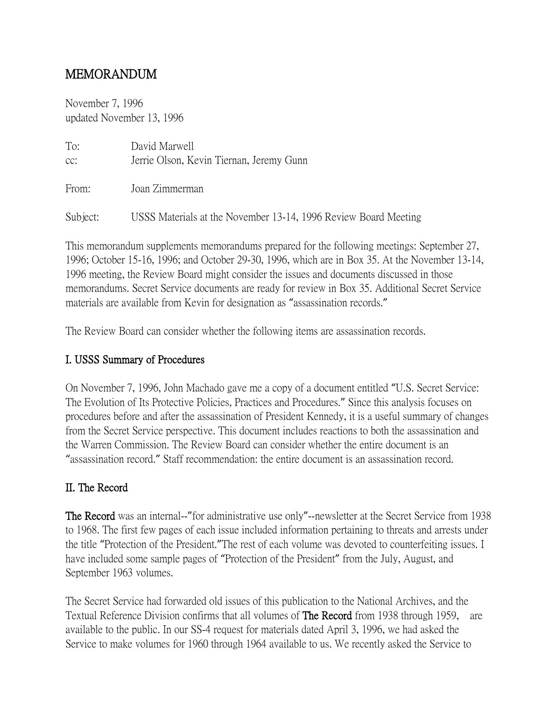# MEMORANDUM

November 7, 1996 updated November 13, 1996

| To:<br>cc: | David Marwell<br>Jerrie Olson, Kevin Tiernan, Jeremy Gunn       |
|------------|-----------------------------------------------------------------|
| From:      | Joan Zimmerman                                                  |
| Subject:   | USSS Materials at the November 13-14, 1996 Review Board Meeting |

This memorandum supplements memorandums prepared for the following meetings: September 27, 1996; October 15-16, 1996; and October 29-30, 1996, which are in Box 35. At the November 13-14, 1996 meeting, the Review Board might consider the issues and documents discussed in those memorandums. Secret Service documents are ready for review in Box 35. Additional Secret Service materials are available from Kevin for designation as "assassination records."

The Review Board can consider whether the following items are assassination records.

## I. USSS Summary of Procedures

On November 7, 1996, John Machado gave me a copy of a document entitled "U.S. Secret Service: The Evolution of Its Protective Policies, Practices and Procedures." Since this analysis focuses on procedures before and after the assassination of President Kennedy, it is a useful summary of changes from the Secret Service perspective. This document includes reactions to both the assassination and the Warren Commission. The Review Board can consider whether the entire document is an "assassination record." Staff recommendation: the entire document is an assassination record.

### II. The Record

The Record was an internal--"for administrative use only"--newsletter at the Secret Service from 1938 to 1968. The first few pages of each issue included information pertaining to threats and arrests under the title "Protection of the President."The rest of each volume was devoted to counterfeiting issues. I have included some sample pages of "Protection of the President" from the July, August, and September 1963 volumes.

The Secret Service had forwarded old issues of this publication to the National Archives, and the Textual Reference Division confirms that all volumes of **The Record** from 1938 through 1959, are available to the public. In our SS-4 request for materials dated April 3, 1996, we had asked the Service to make volumes for 1960 through 1964 available to us. We recently asked the Service to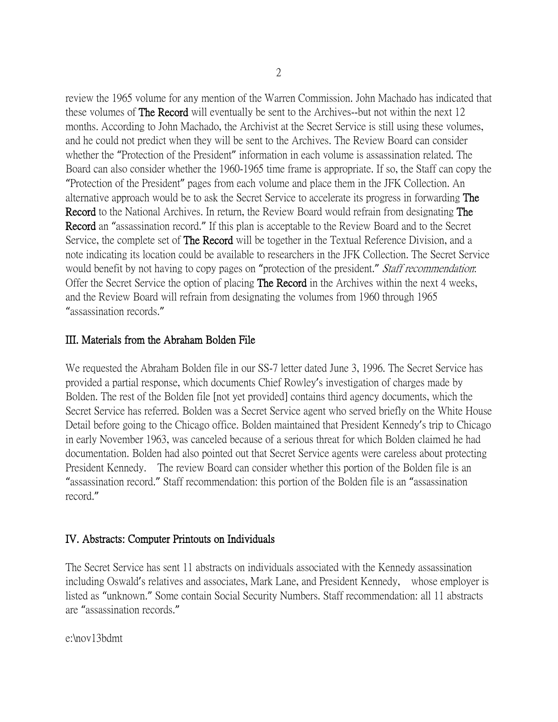review the 1965 volume for any mention of the Warren Commission. John Machado has indicated that these volumes of The Record will eventually be sent to the Archives--but not within the next 12 months. According to John Machado, the Archivist at the Secret Service is still using these volumes, and he could not predict when they will be sent to the Archives. The Review Board can consider whether the "Protection of the President" information in each volume is assassination related. The Board can also consider whether the 1960-1965 time frame is appropriate. If so, the Staff can copy the "Protection of the President" pages from each volume and place them in the JFK Collection. An alternative approach would be to ask the Secret Service to accelerate its progress in forwarding The Record to the National Archives. In return, the Review Board would refrain from designating The Record an "assassination record." If this plan is acceptable to the Review Board and to the Secret Service, the complete set of **The Record** will be together in the Textual Reference Division, and a note indicating its location could be available to researchers in the JFK Collection. The Secret Service would benefit by not having to copy pages on "protection of the president." *Staff recommendation*: Offer the Secret Service the option of placing **The Record** in the Archives within the next 4 weeks, and the Review Board will refrain from designating the volumes from 1960 through 1965 "assassination records."

#### III. Materials from the Abraham Bolden File

We requested the Abraham Bolden file in our SS-7 letter dated June 3, 1996. The Secret Service has provided a partial response, which documents Chief Rowley's investigation of charges made by Bolden. The rest of the Bolden file [not yet provided] contains third agency documents, which the Secret Service has referred. Bolden was a Secret Service agent who served briefly on the White House Detail before going to the Chicago office. Bolden maintained that President Kennedy's trip to Chicago in early November 1963, was canceled because of a serious threat for which Bolden claimed he had documentation. Bolden had also pointed out that Secret Service agents were careless about protecting President Kennedy. The review Board can consider whether this portion of the Bolden file is an "assassination record." Staff recommendation: this portion of the Bolden file is an "assassination record."

#### IV. Abstracts: Computer Printouts on Individuals

The Secret Service has sent 11 abstracts on individuals associated with the Kennedy assassination including Oswald's relatives and associates, Mark Lane, and President Kennedy, whose employer is listed as "unknown." Some contain Social Security Numbers. Staff recommendation: all 11 abstracts are "assassination records."

e:\nov13bdmt